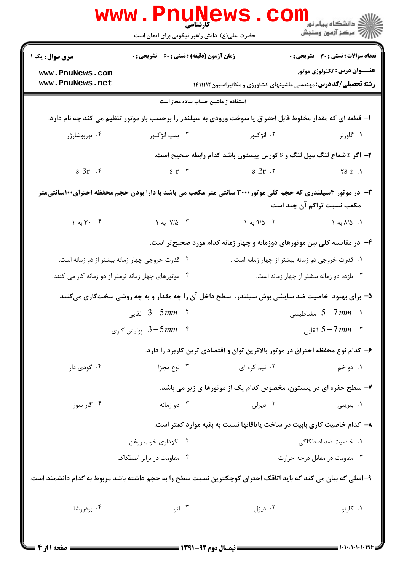|                                                                                                                                          | <b>www.PnuNews</b><br>کارشناسی<br>حضرت علی(ع): دانش راهبر نیکویی برای ایمان است                            |                                                                           |                                              |  |  |
|------------------------------------------------------------------------------------------------------------------------------------------|------------------------------------------------------------------------------------------------------------|---------------------------------------------------------------------------|----------------------------------------------|--|--|
| <b>سری سوال :</b> یک ۱                                                                                                                   | <b>زمان آزمون (دقیقه) : تستی : 60 ٪ تشریحی : 0</b>                                                         |                                                                           | <b>تعداد سوالات : تستی : 30 ٪ تشریحی : 0</b> |  |  |
| www.PnuNews.com                                                                                                                          |                                                                                                            |                                                                           | <b>عنـــوان درس:</b> تکنولوژي موتور          |  |  |
| www.PnuNews.net                                                                                                                          |                                                                                                            | <b>رشته تحصیلی/کد درس:</b> مهندسی ماشینهای کشاورزی و مکانیزاسیون۱۴۱۱۱۱۲   |                                              |  |  |
| استفاده از ماشین حساب ساده مجاز است                                                                                                      |                                                                                                            |                                                                           |                                              |  |  |
|                                                                                                                                          | ا– قطعه ای که مقدار مخلوط قابل احتراق یا سوخت ورودی به سیلندر را برحسب بار موتور تنظیم می کند چه نام دارد. |                                                                           |                                              |  |  |
| ۰۴ توربوشارژر                                                                                                                            | ۰۳ پمپ انژکتور                                                                                             | ۰۲ انژکتور                                                                | ۰۱ گاورنر                                    |  |  |
|                                                                                                                                          |                                                                                                            | ۲- اگر r شعاع لنگ میل لنگ و s کورس پیستون باشد کدام رابطه صحیح است.       |                                              |  |  |
| $s = 3r$ .                                                                                                                               | $s=r$ $\cdot$ $\cdot$ $s=2r$ $\cdot$ $\cdot$                                                               |                                                                           | $\mathbf{Y}S = \mathbf{r}$ .                 |  |  |
| ۳- در موتور ۴سیلندری که حجم کلی موتور۳۰۰۰ سانتی متر مکعب می باشد با دارا بودن حجم محفظه احتراق۱۰۰سانتیمتر<br>مکعب نسبت تراکم آن چند است. |                                                                                                            |                                                                           |                                              |  |  |
|                                                                                                                                          | $Y/\Delta$ به ۱ $Y/\Delta$ به ۱ $Y/\Delta$ . ۳.                                                            | $\sqrt{9/2}$ ۰۲ به ۱                                                      | ۰۱ ۸/۵ به ۱                                  |  |  |
|                                                                                                                                          |                                                                                                            | ۴- در مقایسه کلی بین موتورهای دوزمانه و چهار زمانه کدام مورد صحیح تر است. |                                              |  |  |
|                                                                                                                                          | ۰۲ قدرت خروجی چهار زمانه بیشتر از دو زمانه است.                                                            | ۰۱ قدرت خروجی دو زمانه بیشتر از چهار زمانه است .                          |                                              |  |  |
| ۰۴ موتورهای چهار زمانه نرمتر از دو زمانه کار می کنند.                                                                                    |                                                                                                            | ۰۳ بازده دو زمانه بیشتر از چهار زمانه است.                                |                                              |  |  |
|                                                                                                                                          | ۵– برای بهبود خاصیت ضد سایشی بوش سیلندر، سطح داخل آن را چه مقدار و به چه روشی سختکاری میکنند.              |                                                                           |                                              |  |  |
| القايى $3\!-\!5\,mm$ القايى $^3$                                                                                                         |                                                                                                            | ا . $5\!-\!7\,mm$ مغناطیسی $5\!-\!7\,mm$                                  |                                              |  |  |
| 6 - 3 پولیش کاری $3-5\,mm$ . ۴                                                                                                           |                                                                                                            | 5 – 7 القايي $5 - 7$ القايي                                               |                                              |  |  |
| ۶- کدام نوع محفظه احتراق در موتور بالاترین توان و اقتصادی ترین کاربرد را دارد.                                                           |                                                                                                            |                                                                           |                                              |  |  |
| ۰۴ گودی دار                                                                                                                              | ۰۳ نوع مجزا                                                                                                | ۰۲ نیم کره ای                                                             | ۰۱ دو خم                                     |  |  |
|                                                                                                                                          |                                                                                                            | ۷- سطح حفره ای در پیستون، مخصوص کدام یک از موتورها ی زیر می باشد.         |                                              |  |  |
| ۰۴ گاز سوز                                                                                                                               | ۰۳ دو زمانه                                                                                                | ۰۲ دیزلی                                                                  | ۰۱ بنزینی                                    |  |  |
|                                                                                                                                          | ۸– کدام خاصیت کاری بابیت در ساخت یاتاقانها نسبت به بقیه موارد کمتر است.                                    |                                                                           |                                              |  |  |
| ۰۲ نگهداری خوب روغن                                                                                                                      |                                                                                                            | ۰۱. خاصیت ضد اصطکاکی                                                      |                                              |  |  |
| ۰۴ مقاومت در برابر اصطکاک                                                                                                                |                                                                                                            | ۰۳ مقاومت در مقابل درجه حرارت                                             |                                              |  |  |
| ۹–اصلی که بیان می کند که باید اتاقک احتراق کوچکترین نسبت سطح را به حجم داشته باشد مربوط به کدام دانشمند است.                             |                                                                                                            |                                                                           |                                              |  |  |
| ۰۴ بودورشا                                                                                                                               | ۰۳ اتو                                                                                                     | ۰۲ دیزل                                                                   | ۰۱ کارنو                                     |  |  |
| <b>: صفحه 11: 4 :</b>                                                                                                                    |                                                                                                            |                                                                           | = 1・1・/1・1・1・19۶                             |  |  |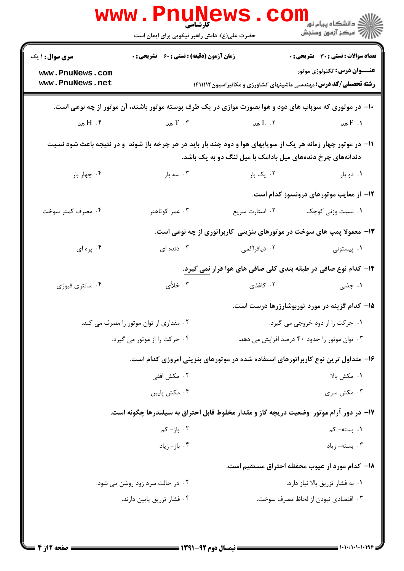|                                                                                                                                                                              | www.Pnunews.co<br>حضرت علی(ع): دانش راهبر نیکویی برای ایمان است                                                |                                                                                          | رد دانشکاه پيام نور ■<br>ارد مرکز آزمون وسنجش |  |  |
|------------------------------------------------------------------------------------------------------------------------------------------------------------------------------|----------------------------------------------------------------------------------------------------------------|------------------------------------------------------------------------------------------|-----------------------------------------------|--|--|
| <b>سری سوال : ۱ یک</b>                                                                                                                                                       | <b>زمان آزمون (دقیقه) : تستی : 60 ٪ تشریحی : 0</b>                                                             |                                                                                          | <b>تعداد سوالات : تستی : 30 ٪ تشریحی : 0</b>  |  |  |
| www.PnuNews.com<br>www.PnuNews.net                                                                                                                                           | <b>عنـــوان درس:</b> تکنولوژي موتور<br><b>رشته تحصیلی/کد درس:</b> مهندسی ماشینهای کشاورزی و مکانیزاسیون۱۴۱۱۱۱۲ |                                                                                          |                                               |  |  |
| +۱- در موتوری که سوپاپ های دود و هوا بصورت موازی در یک طرف پوسته موتور باشند، آن موتور از چه نوعی است.                                                                       |                                                                                                                |                                                                                          |                                               |  |  |
| ۰۴ $H_{\alpha\alpha}$                                                                                                                                                        | ت $T \cdot r$                                                                                                  | ۰۲ $L$ هد $\,$                                                                           | $F \cdot Y$ هد                                |  |  |
| 1۱– در موتور چهار زمانه هر یک از سوپاپهای هوا و دود چند بار باید در هر چرخه باز شوند ًو در نتیجه باعث شود نسبت<br>دندانههای چرخ دندههای میل بادامک با میل لنگ دو به یک باشد. |                                                                                                                |                                                                                          |                                               |  |  |
| ۰۴ چهار بار                                                                                                                                                                  | ۰۳ سه بار                                                                                                      | ۰۲ یک بار                                                                                | ۰۱ دو بار                                     |  |  |
|                                                                                                                                                                              |                                                                                                                |                                                                                          | ۱۲– از معایب موتورهای درونسوز کدام است.       |  |  |
| ۰۴ مصرف کمتر سوخت                                                                                                                                                            | ۰۳ عمر کوتاهتر                                                                                                 | ٠٢ استارت سريع                                                                           | ۰۱ نسبت وزنی کوچک                             |  |  |
|                                                                                                                                                                              |                                                                                                                | ۱۳- معمولا پمپ های سوخت در موتورهای بنزینی کاربراتوری از چه نوعی است.                    |                                               |  |  |
| ۰۴ پره ای                                                                                                                                                                    | ۰۳ دنده ای                                                                                                     | ۰۲ دیافراگمی                                                                             | ۰۱ پیستونی                                    |  |  |
|                                                                                                                                                                              |                                                                                                                | ۱۴– کدام نوع صافی در طبقه بندی کلی صافی های هوا قرار <u>نمی</u> گیرد.                    |                                               |  |  |
| ۰۴ سانتري فيوژي                                                                                                                                                              | ۰۳ خلأی                                                                                                        | ۲. کاغذی                                                                                 | ۰۱ جذبی                                       |  |  |
|                                                                                                                                                                              |                                                                                                                | ۱۵– کدام گزینه در مورد توربوشارژرها درست است.                                            |                                               |  |  |
| ۰۲ مقداری از توان موتور را مصرف می کند.                                                                                                                                      |                                                                                                                | ۰۱ حرکت را از دود خروجی می گیرد.                                                         |                                               |  |  |
| ۰۳ توان موتور را حدود ۴۰ درصد افزایش می دهد.<br>۰۴ حرکت را از موتور می گیرد.                                                                                                 |                                                                                                                |                                                                                          |                                               |  |  |
| ۱۶– متداول ترین نوع کاربراتورهای استفاده شده در موتورهای بنزینی امروزی کدام است.                                                                                             |                                                                                                                |                                                                                          |                                               |  |  |
| ۰۲ مکش افقی                                                                                                                                                                  |                                                                                                                | ٠١. مكش بالا                                                                             |                                               |  |  |
|                                                                                                                                                                              | ۰۴ مکش پایین                                                                                                   |                                                                                          | ۰۳ مکش سری                                    |  |  |
|                                                                                                                                                                              |                                                                                                                | ۱۷– در دور آرام موتور ۖ وضعیت دریچه گاز و مقدار مخلوط قابل احتراق به سیلندرها چگونه است. |                                               |  |  |
| ۰۲ باز- کم                                                                                                                                                                   |                                                                                                                | ۰۱ بسته- کم                                                                              |                                               |  |  |
|                                                                                                                                                                              | ۰۴ باز- زياد                                                                                                   |                                                                                          | بسته- زياد $\cdot$ ۳                          |  |  |
|                                                                                                                                                                              | 18– کدام مورد از عیوب محفظه احتراق مستقیم است.                                                                 |                                                                                          |                                               |  |  |
|                                                                                                                                                                              | ۰۲ در حالت سرد زود روشن می شود.                                                                                |                                                                                          | ۰۱ به فشار تزریق بالا نیاز دارد.              |  |  |
| ۰۴ فشار تزريق پايين دارند.                                                                                                                                                   |                                                                                                                |                                                                                          | ۰۳ اقتصادی نبودن از لحاظ مصرف سوخت.           |  |  |
|                                                                                                                                                                              |                                                                                                                |                                                                                          |                                               |  |  |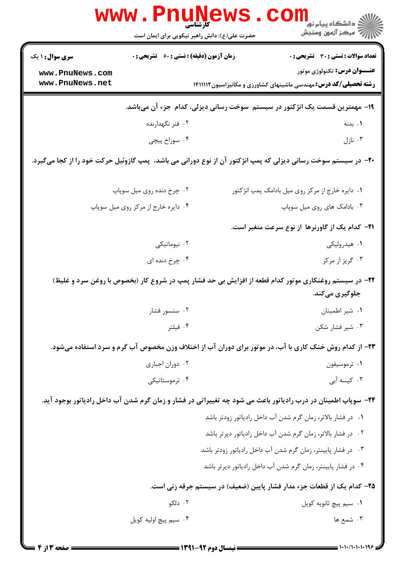|                                                                                                                         | <b>www.Pnunews</b><br><b>کارشناسی</b><br>حضرت علی(ع): دانش راهبر نیکویی برای ایمان است |  |                                                                                                                |  |
|-------------------------------------------------------------------------------------------------------------------------|----------------------------------------------------------------------------------------|--|----------------------------------------------------------------------------------------------------------------|--|
| <b>سری سوال : ۱ یک</b>                                                                                                  | <b>زمان آزمون (دقیقه) : تستی : 60 ٪ تشریحی : 0</b>                                     |  | <b>تعداد سوالات : تستی : 30 ٪ تشریحی : 0</b>                                                                   |  |
| www.PnuNews.com<br>www.PnuNews.net                                                                                      |                                                                                        |  | <b>عنـــوان درس:</b> تکنولوژي موتور<br><b>رشته تحصیلی/کد درس:</b> مهندسی ماشینهای کشاورزی و مکانیزاسیون۱۴۱۱۱۱۲ |  |
| ۱۹- مهمترین قسمت یک انژکتور در سیستم  سوخت رسانی دیزلی، کدام  جزء آن میباشد.                                            |                                                                                        |  |                                                                                                                |  |
|                                                                                                                         | ۰۲ فنر نگهدارنده                                                                       |  | ۰۱ بدنه                                                                                                        |  |
|                                                                                                                         | ۰۴ سوراخ پیچی                                                                          |  | ۰۳ نازل                                                                                                        |  |
| +۲- در سیستم سوخت رسانی دیزلی که پمپ انژکتور آن از نوع دورانی می باشد، پمپ گازوئیل حرکت خود را از کجا میگیرد.           |                                                                                        |  |                                                                                                                |  |
|                                                                                                                         | ۰۲ چرخ دنده روی میل سوپاپ                                                              |  | ۰۱ دایره خارج از مرکز روی میل بادامک پمپ انژکتور                                                               |  |
|                                                                                                                         | ۰۴ دايره خارج از مركز روى ميل سوپاپ                                                    |  | ۰۳ بادامک های روی میل سوپاپ                                                                                    |  |
|                                                                                                                         |                                                                                        |  | <b>۲۱</b> – کدام یک از گاورنرها از نوع سرعت متغیر است.                                                         |  |
|                                                                                                                         | ۰۲ نیوماتیکی                                                                           |  | ۰۱ هیدرولیکی                                                                                                   |  |
|                                                                                                                         | ۰۴ چرخ دنده ای                                                                         |  | ۰۳ گريز از مرکز                                                                                                |  |
| ۲۲– در سیستم روغنکاری موتور کدام قطعه از افزایش بی حد فشار پمپ در شروع کار (بخصوص با روغن سرد و غلیظ)<br>جلوگیری میکند. |                                                                                        |  |                                                                                                                |  |
|                                                                                                                         | ۰۲ سنسور فشار                                                                          |  | ۰۱ شیر اطمینان                                                                                                 |  |
|                                                                                                                         | ۰۴ فیلتر                                                                               |  | ۰۳ شیر فشار شکن                                                                                                |  |
| ۲۳– از کدام روش خنک کاری با آب، در موتور برای دوران آب از اختلاف وزن مخصوص آب گرم و سرد استفاده میشود.                  |                                                                                        |  |                                                                                                                |  |
|                                                                                                                         | ۰۲ دوران اجباری                                                                        |  | ۰۱ ترموسیفون                                                                                                   |  |
|                                                                                                                         | ۰۴ ترموستاتیکی                                                                         |  | ۰۳ کیسه آبی                                                                                                    |  |
|                                                                                                                         |                                                                                        |  | ۲۴– سوپاپ اطمینان در درب رادیاتور باعث می شود چه تغییراتی در فشار و زمان گرم شدن آب داخل رادیاتور بوجود آید.   |  |
|                                                                                                                         |                                                                                        |  | ۰۱ در فشار بالاتر، زمان گرم شدن آب داخل رادیاتور زودتر باشد                                                    |  |
|                                                                                                                         |                                                                                        |  | ٠٢ در فشار بالاتر، زمان گرم شدن آب داخل رادياتور ديرتر باشد                                                    |  |
|                                                                                                                         |                                                                                        |  | ۰۳ در فشار پایینتر، زمان گرم شدن آب داخل رادیاتور زودتر باشد                                                   |  |
|                                                                                                                         |                                                                                        |  | ۰۴ در فشار پایینتر، زمان گرم شدن آب داخل رادیاتور دیرتر باشد                                                   |  |
|                                                                                                                         |                                                                                        |  | ۲۵– کدام یک از قطعات جزء مدار فشار پایین (ضعیف) در سیستم جرقه زنی است.                                         |  |
|                                                                                                                         | ۰۲ دلکو                                                                                |  | ۰۱ سیم پیچ ثانویه کویل                                                                                         |  |
|                                                                                                                         | ۰۴ سیم پیچ اولیه کویل                                                                  |  | ۰۳ شمع ها                                                                                                      |  |